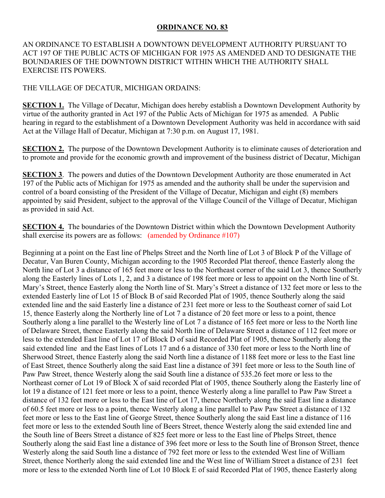## **ORDINANCE NO. 83**

AN ORDINANCE TO ESTABLISH A DOWNTOWN DEVELOPMENT AUTHORITY PURSUANT TO ACT 197 OF THE PUBLIC ACTS OF MICHIGAN FOR 1975 AS AMENDED AND TO DESIGNATE THE BOUNDARIES OF THE DOWNTOWN DISTRICT WITHIN WHICH THE AUTHORITY SHALL EXERCISE ITS POWERS.

## THE VILLAGE OF DECATUR, MICHIGAN ORDAINS:

**SECTION 1.** The Village of Decatur, Michigan does hereby establish a Downtown Development Authority by virtue of the authority granted in Act 197 of the Public Acts of Michigan for 1975 as amended. A Public hearing in regard to the establishment of a Downtown Development Authority was held in accordance with said Act at the Village Hall of Decatur, Michigan at 7:30 p.m. on August 17, 1981.

**SECTION 2.** The purpose of the Downtown Development Authority is to eliminate causes of deterioration and to promote and provide for the economic growth and improvement of the business district of Decatur, Michigan

**SECTION 3**. The powers and duties of the Downtown Development Authority are those enumerated in Act 197 of the Public acts of Michigan for 1975 as amended and the authority shall be under the supervision and control of a board consisting of the President of the Village of Decatur, Michigan and eight (8) members appointed by said President, subject to the approval of the Village Council of the Village of Decatur, Michigan as provided in said Act.

**SECTION 4.** The boundaries of the Downtown District within which the Downtown Development Authority shall exercise its powers are as follows: (amended by Ordinance #107)

Beginning at a point on the East line of Phelps Street and the North line of Lot 3 of Block P of the Village of Decatur, Van Buren County, Michigan according to the 1905 Recorded Plat thereof, thence Easterly along the North line of Lot 3 a distance of 165 feet more or less to the Northeast corner of the said Lot 3, thence Southerly along the Easterly lines of Lots 1, 2, and 3 a distance of 198 feet more or less to appoint on the North line of St. Mary's Street, thence Easterly along the North line of St. Mary's Street a distance of 132 feet more or less to the extended Easterly line of Lot 15 of Block B of said Recorded Plat of 1905, thence Southerly along the said extended line and the said Easterly line a distance of 231 feet more or less to the Southeast corner of said Lot 15, thence Easterly along the Northerly line of Lot 7 a distance of 20 feet more or less to a point, thence Southerly along a line parallel to the Westerly line of Lot 7 a distance of 165 feet more or less to the North line of Delaware Street, thence Easterly along the said North line of Delaware Street a distance of 112 feet more or less to the extended East line of Lot 17 of Block D of said Recorded Plat of 1905, thence Southerly along the said extended line and the East lines of Lots 17 and 6 a distance of 330 feet more or less to the North line of Sherwood Street, thence Easterly along the said North line a distance of 1188 feet more or less to the East line of East Street, thence Southerly along the said East line a distance of 391 feet more or less to the South line of Paw Paw Street, thence Westerly along the said South line a distance of 535.26 feet more or less to the Northeast corner of Lot 19 of Block X of said recorded Plat of 1905, thence Southerly along the Easterly line of lot 19 a distance of 121 feet more or less to a point, thence Westerly along a line parallel to Paw Paw Street a distance of 132 feet more or less to the East line of Lot 17, thence Northerly along the said East line a distance of 60.5 feet more or less to a point, thence Westerly along a line parallel to Paw Paw Street a distance of 132 feet more or less to the East line of George Street, thence Southerly along the said East line a distance of 116 feet more or less to the extended South line of Beers Street, thence Westerly along the said extended line and the South line of Beers Street a distance of 825 feet more or less to the East line of Phelps Street, thence Southerly along the said East line a distance of 396 feet more or less to the South line of Bronson Street, thence Westerly along the said South line a distance of 792 feet more or less to the extended West line of William Street, thence Northerly along the said extended line and the West line of William Street a distance of 231 feet more or less to the extended North line of Lot 10 Block E of said Recorded Plat of 1905, thence Easterly along